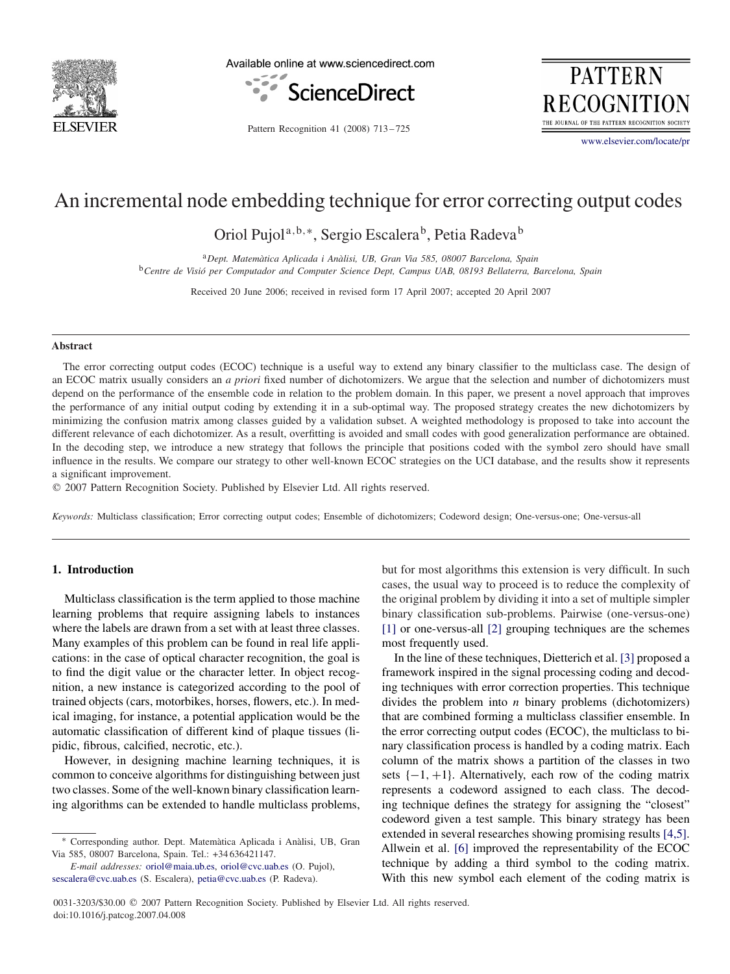

Available online at www.sciencedirect.com



Pattern Recognition 41 (2008) 713 – 725

**PATTERN RECOGNITION** THE JOURNAL OF THE PATTERN RECOGNITION SOCIETY [www.elsevier.com/locate/pr](http://www.elsevier.com/locate/pr)

# An incremental node embedding technique for error correcting output codes

Oriol Pujol<sup>a</sup>*,*b*,*<sup>∗</sup>, Sergio Escalerab, Petia Radevab

<sup>a</sup>*Dept. Matemàtica Aplicada i Anàlisi, UB, Gran Via 585, 08007 Barcelona, Spain* <sup>b</sup>*Centre de Visió per Computador and Computer Science Dept, Campus UAB, 08193 Bellaterra, Barcelona, Spain*

Received 20 June 2006; received in revised form 17 April 2007; accepted 20 April 2007

#### **Abstract**

The error correcting output codes (ECOC) technique is a useful way to extend any binary classifier to the multiclass case. The design of an ECOC matrix usually considers an *a priori* fixed number of dichotomizers. We argue that the selection and number of dichotomizers must depend on the performance of the ensemble code in relation to the problem domain. In this paper, we present a novel approach that improves the performance of any initial output coding by extending it in a sub-optimal way. The proposed strategy creates the new dichotomizers by minimizing the confusion matrix among classes guided by a validation subset. A weighted methodology is proposed to take into account the different relevance of each dichotomizer. As a result, overfitting is avoided and small codes with good generalization performance are obtained. In the decoding step, we introduce a new strategy that follows the principle that positions coded with the symbol zero should have small influence in the results. We compare our strategy to other well-known ECOC strategies on the UCI database, and the results show it represents a significant improvement.

- 2007 Pattern Recognition Society. Published by Elsevier Ltd. All rights reserved.

*Keywords:* Multiclass classification; Error correcting output codes; Ensemble of dichotomizers; Codeword design; One-versus-one; One-versus-all

### **1. Introduction**

Multiclass classification is the term applied to those machine learning problems that require assigning labels to instances where the labels are drawn from a set with at least three classes. Many examples of this problem can be found in real life applications: in the case of optical character recognition, the goal is to find the digit value or the character letter. In object recognition, a new instance is categorized according to the pool of trained objects (cars, motorbikes, horses, flowers, etc.). In medical imaging, for instance, a potential application would be the automatic classification of different kind of plaque tissues (lipidic, fibrous, calcified, necrotic, etc.).

However, in designing machine learning techniques, it is common to conceive algorithms for distinguishing between just two classes. Some of the well-known binary classification learning algorithms can be extended to handle multiclass problems,

but for most algorithms this extension is very difficult. In such cases, the usual way to proceed is to reduce the complexity of the original problem by dividing it into a set of multiple simpler binary classification sub-problems. Pairwise (one-versus-one) [\[1\]](#page-12-0) or one-versus-all [\[2\]](#page-12-0) grouping techniques are the schemes most frequently used.

In the line of these techniques, Dietterich et al. [\[3\]](#page-12-0) proposed a framework inspired in the signal processing coding and decoding techniques with error correction properties. This technique divides the problem into *n* binary problems (dichotomizers) that are combined forming a multiclass classifier ensemble. In the error correcting output codes (ECOC), the multiclass to binary classification process is handled by a coding matrix. Each column of the matrix shows a partition of the classes in two sets  $\{-1, +1\}$ . Alternatively, each row of the coding matrix represents a codeword assigned to each class. The decoding technique defines the strategy for assigning the "closest" codeword given a test sample. This binary strategy has been extended in several researches showing promising results [4,5]. Allwein et al. [\[6\]](#page-12-0) improved the representability of the ECOC technique by adding a third symbol to the coding matrix. With this new symbol each element of the coding matrix is

<sup>∗</sup> Corresponding author. Dept. Matemàtica Aplicada i Anàlisi, UB, Gran Via 585, 08007 Barcelona, Spain. Tel.: +34 636421147.

*E-mail addresses:* [oriol@maia.ub.es,](mailto:oriol@maia.ub.es) [oriol@cvc.uab.es](mailto:oriol@cvc.uab.es) (O. Pujol), [sescalera@cvc.uab.es](mailto:sescalera@cvc.uab.es) (S. Escalera), [petia@cvc.uab.es](mailto:petia@cvc.uab.es) (P. Radeva).

<sup>0031-3203/\$30.00 @ 2007</sup> Pattern Recognition Society. Published by Elsevier Ltd. All rights reserved. doi:10.1016/j.patcog.2007.04.008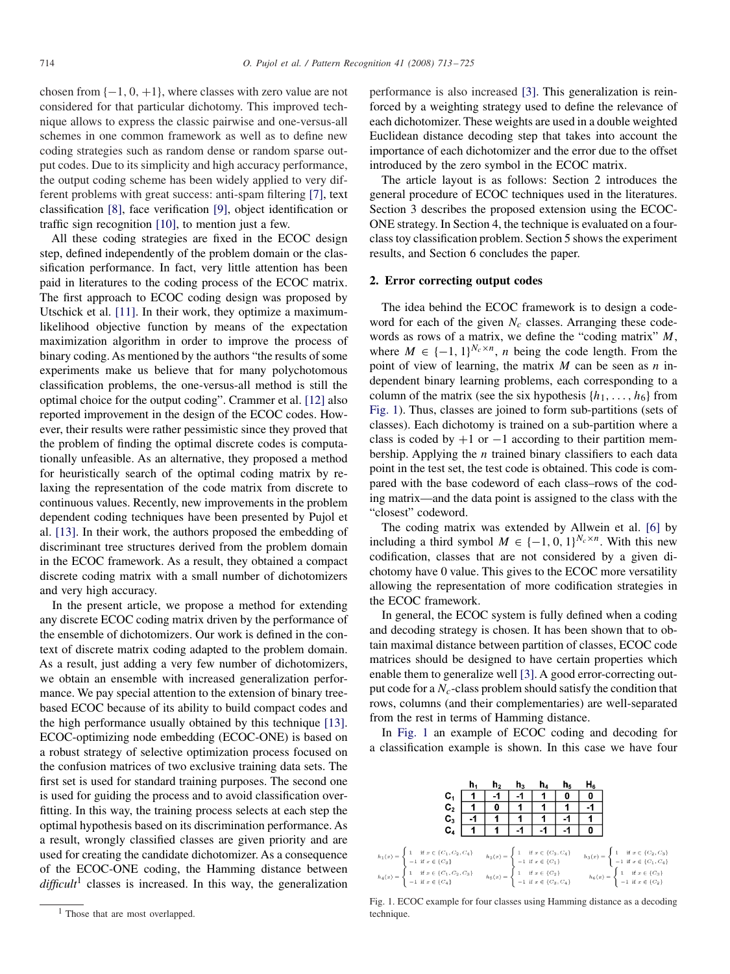<span id="page-1-0"></span>chosen from {−1*,* 0*,* +1}, where classes with zero value are not considered for that particular dichotomy. This improved technique allows to express the classic pairwise and one-versus-all schemes in one common framework as well as to define new coding strategies such as random dense or random sparse output codes. Due to its simplicity and high accuracy performance, the output coding scheme has been widely applied to very different problems with great success: anti-spam filtering [\[7\],](#page-12-0) text classification [\[8\],](#page-12-0) face verification [\[9\],](#page-12-0) object identification or traffic sign recognition [\[10\],](#page-12-0) to mention just a few.

All these coding strategies are fixed in the ECOC design step, defined independently of the problem domain or the classification performance. In fact, very little attention has been paid in literatures to the coding process of the ECOC matrix. The first approach to ECOC coding design was proposed by Utschick et al. [\[11\].](#page-12-0) In their work, they optimize a maximumlikelihood objective function by means of the expectation maximization algorithm in order to improve the process of binary coding. As mentioned by the authors "the results of some experiments make us believe that for many polychotomous classification problems, the one-versus-all method is still the optimal choice for the output coding". Crammer et al. [\[12\]](#page-12-0) also reported improvement in the design of the ECOC codes. However, their results were rather pessimistic since they proved that the problem of finding the optimal discrete codes is computationally unfeasible. As an alternative, they proposed a method for heuristically search of the optimal coding matrix by relaxing the representation of the code matrix from discrete to continuous values. Recently, new improvements in the problem dependent coding techniques have been presented by Pujol et al. [\[13\].](#page-12-0) In their work, the authors proposed the embedding of discriminant tree structures derived from the problem domain in the ECOC framework. As a result, they obtained a compact discrete coding matrix with a small number of dichotomizers and very high accuracy.

In the present article, we propose a method for extending any discrete ECOC coding matrix driven by the performance of the ensemble of dichotomizers. Our work is defined in the context of discrete matrix coding adapted to the problem domain. As a result, just adding a very few number of dichotomizers, we obtain an ensemble with increased generalization performance. We pay special attention to the extension of binary treebased ECOC because of its ability to build compact codes and the high performance usually obtained by this technique [\[13\].](#page-12-0) ECOC-optimizing node embedding (ECOC-ONE) is based on a robust strategy of selective optimization process focused on the confusion matrices of two exclusive training data sets. The first set is used for standard training purposes. The second one is used for guiding the process and to avoid classification overfitting. In this way, the training process selects at each step the optimal hypothesis based on its discrimination performance. As a result, wrongly classified classes are given priority and are used for creating the candidate dichotomizer. As a consequence of the ECOC-ONE coding, the Hamming distance between  $difficult<sup>1</sup>$  classes is increased. In this way, the generalization

performance is also increased [\[3\].](#page-12-0) This generalization is reinforced by a weighting strategy used to define the relevance of each dichotomizer. These weights are used in a double weighted Euclidean distance decoding step that takes into account the importance of each dichotomizer and the error due to the offset introduced by the zero symbol in the ECOC matrix.

The article layout is as follows: Section 2 introduces the general procedure of ECOC techniques used in the literatures. Section 3 describes the proposed extension using the ECOC-ONE strategy. In Section 4, the technique is evaluated on a fourclass toy classification problem. Section 5 shows the experiment results, and Section 6 concludes the paper.

# **2. Error correcting output codes**

The idea behind the ECOC framework is to design a codeword for each of the given  $N_c$  classes. Arranging these codewords as rows of a matrix, we define the "coding matrix" *M*, where  $M \in \{-1, 1\}^{N_c \times n}$ , *n* being the code length. From the point of view of learning, the matrix *M* can be seen as *n* independent binary learning problems, each corresponding to a column of the matrix (see the six hypothesis  $\{h_1, \ldots, h_6\}$  from Fig. 1). Thus, classes are joined to form sub-partitions (sets of classes). Each dichotomy is trained on a sub-partition where a class is coded by  $+1$  or  $-1$  according to their partition membership. Applying the *n* trained binary classifiers to each data point in the test set, the test code is obtained. This code is compared with the base codeword of each class–rows of the coding matrix—and the data point is assigned to the class with the "closest" codeword.

The coding matrix was extended by Allwein et al. [\[6\]](#page-12-0) by including a third symbol  $M \in \{-1, 0, 1\}^{N_c \times n}$ . With this new codification, classes that are not considered by a given dichotomy have 0 value. This gives to the ECOC more versatility allowing the representation of more codification strategies in the ECOC framework.

In general, the ECOC system is fully defined when a coding and decoding strategy is chosen. It has been shown that to obtain maximal distance between partition of classes, ECOC code matrices should be designed to have certain properties which enable them to generalize well [\[3\].](#page-12-0) A good error-correcting output code for a  $N_c$ -class problem should satisfy the condition that rows, columns (and their complementaries) are well-separated from the rest in terms of Hamming distance.

In Fig. 1 an example of ECOC coding and decoding for a classification example is shown. In this case we have four



Fig. 1. ECOC example for four classes using Hamming distance as a decoding technique.

<sup>&</sup>lt;sup>1</sup> Those that are most overlapped.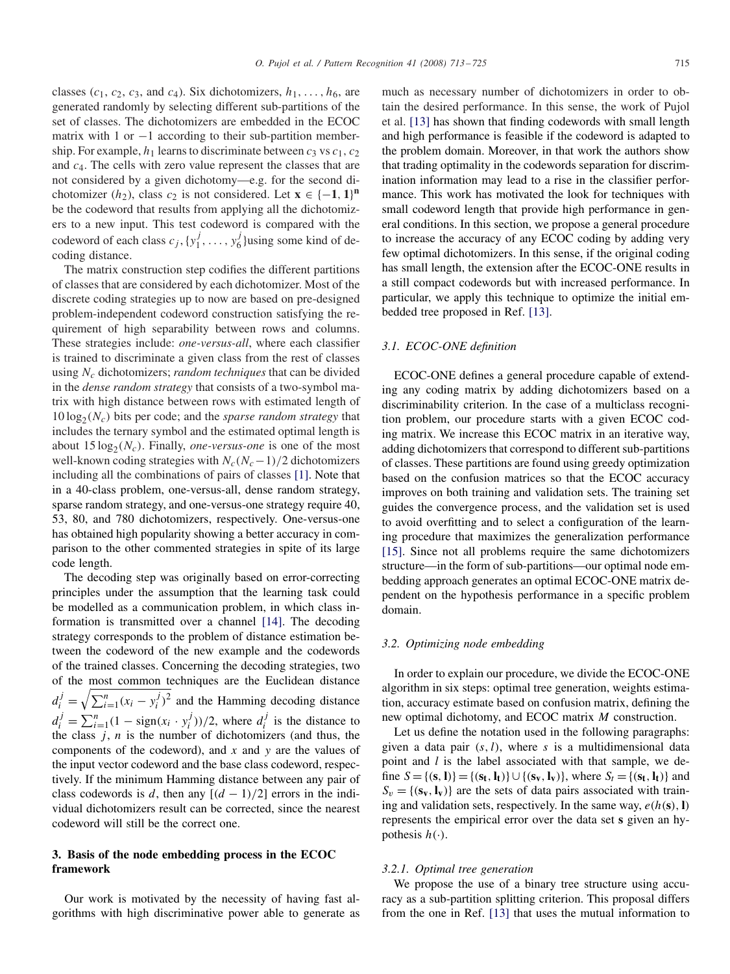classes  $(c_1, c_2, c_3,$  and  $c_4$ ). Six dichotomizers,  $h_1, \ldots, h_6$ , are generated randomly by selecting different sub-partitions of the set of classes. The dichotomizers are embedded in the ECOC matrix with 1 or  $-1$  according to their sub-partition membership. For example,  $h_1$  learns to discriminate between  $c_3$  vs  $c_1$ ,  $c_2$ and *c*4. The cells with zero value represent the classes that are not considered by a given dichotomy—e.g. for the second dichotomizer  $(h_2)$ , class  $c_2$  is not considered. Let  $\mathbf{x} \in \{-1, 1\}^n$ be the codeword that results from applying all the dichotomizers to a new input. This test codeword is compared with the codeword of each class  $c_j$ ,  $\{y_1^j, \ldots, y_6^j\}$ using some kind of decoding distance.

The matrix construction step codifies the different partitions of classes that are considered by each dichotomizer. Most of the discrete coding strategies up to now are based on pre-designed problem-independent codeword construction satisfying the requirement of high separability between rows and columns. These strategies include: *one-versus-all*, where each classifier is trained to discriminate a given class from the rest of classes using *Nc* dichotomizers; *random techniques* that can be divided in the *dense random strategy* that consists of a two-symbol matrix with high distance between rows with estimated length of  $10 \log_2(N_c)$  bits per code; and the *sparse random strategy* that includes the ternary symbol and the estimated optimal length is about  $15 \log_2(N_c)$ . Finally, *one-versus-one* is one of the most well-known coding strategies with *N<sub>c</sub>*(*N<sub>c</sub>*−1)/2 dichotomizers including all the combinations of pairs of classes [\[1\].](#page-12-0) Note that in a 40-class problem, one-versus-all, dense random strategy, sparse random strategy, and one-versus-one strategy require 40, 53, 80, and 780 dichotomizers, respectively. One-versus-one has obtained high popularity showing a better accuracy in comparison to the other commented strategies in spite of its large code length.

The decoding step was originally based on error-correcting principles under the assumption that the learning task could be modelled as a communication problem, in which class information is transmitted over a channel [\[14\].](#page-12-0) The decoding strategy corresponds to the problem of distance estimation between the codeword of the new example and the codewords of the trained classes. Concerning the decoding strategies, two of the most common techniques are the Euclidean distance  $d_i^j = \sqrt{\sum_{i=1}^n (x_i - y_i^j)^2}$  and the Hamming decoding distance  $d_i^j = \sum_{i=1}^n (1 - \text{sign}(x_i \cdot y_i^j))/2$ , where  $d_i^j$  is the distance to the class  $\overline{j}$ , *n* is the number of dichotomizers (and thus, the components of the codeword), and *x* and *y* are the values of the input vector codeword and the base class codeword, respectively. If the minimum Hamming distance between any pair of class codewords is *d*, then any  $[(d-1)/2]$  errors in the individual dichotomizers result can be corrected, since the nearest codeword will still be the correct one.

## **3. Basis of the node embedding process in the ECOC framework**

Our work is motivated by the necessity of having fast algorithms with high discriminative power able to generate as much as necessary number of dichotomizers in order to obtain the desired performance. In this sense, the work of Pujol et al. [\[13\]](#page-12-0) has shown that finding codewords with small length and high performance is feasible if the codeword is adapted to the problem domain. Moreover, in that work the authors show that trading optimality in the codewords separation for discrimination information may lead to a rise in the classifier performance. This work has motivated the look for techniques with small codeword length that provide high performance in general conditions. In this section, we propose a general procedure to increase the accuracy of any ECOC coding by adding very few optimal dichotomizers. In this sense, if the original coding has small length, the extension after the ECOC-ONE results in a still compact codewords but with increased performance. In particular, we apply this technique to optimize the initial embedded tree proposed in Ref. [\[13\].](#page-12-0)

### *3.1. ECOC-ONE definition*

ECOC-ONE defines a general procedure capable of extending any coding matrix by adding dichotomizers based on a discriminability criterion. In the case of a multiclass recognition problem, our procedure starts with a given ECOC coding matrix. We increase this ECOC matrix in an iterative way, adding dichotomizers that correspond to different sub-partitions of classes. These partitions are found using greedy optimization based on the confusion matrices so that the ECOC accuracy improves on both training and validation sets. The training set guides the convergence process, and the validation set is used to avoid overfitting and to select a configuration of the learning procedure that maximizes the generalization performance [\[15\].](#page-12-0) Since not all problems require the same dichotomizers structure—in the form of sub-partitions—our optimal node embedding approach generates an optimal ECOC-ONE matrix dependent on the hypothesis performance in a specific problem domain.

#### *3.2. Optimizing node embedding*

In order to explain our procedure, we divide the ECOC-ONE algorithm in six steps: optimal tree generation, weights estimation, accuracy estimate based on confusion matrix, defining the new optimal dichotomy, and ECOC matrix *M* construction.

Let us define the notation used in the following paragraphs: given a data pair *(s, l)*, where *s* is a multidimensional data point and *l* is the label associated with that sample, we define  $S = \{(\mathbf{s}_t, \mathbf{l}_t)\} \cup \{(\mathbf{s}_v, \mathbf{l}_v)\}$ , where  $S_t = \{(\mathbf{s}_t, \mathbf{l}_t)\}$  and  $S_v = \{(\mathbf{s_v}, \mathbf{l_v})\}$  are the sets of data pairs associated with training and validation sets, respectively. In the same way,  $e(h(\mathbf{s}), \mathbf{l})$ represents the empirical error over the data set **s** given an hypothesis  $h(\cdot)$ .

## *3.2.1. Optimal tree generation*

We propose the use of a binary tree structure using accuracy as a sub-partition splitting criterion. This proposal differs from the one in Ref. [\[13\]](#page-12-0) that uses the mutual information to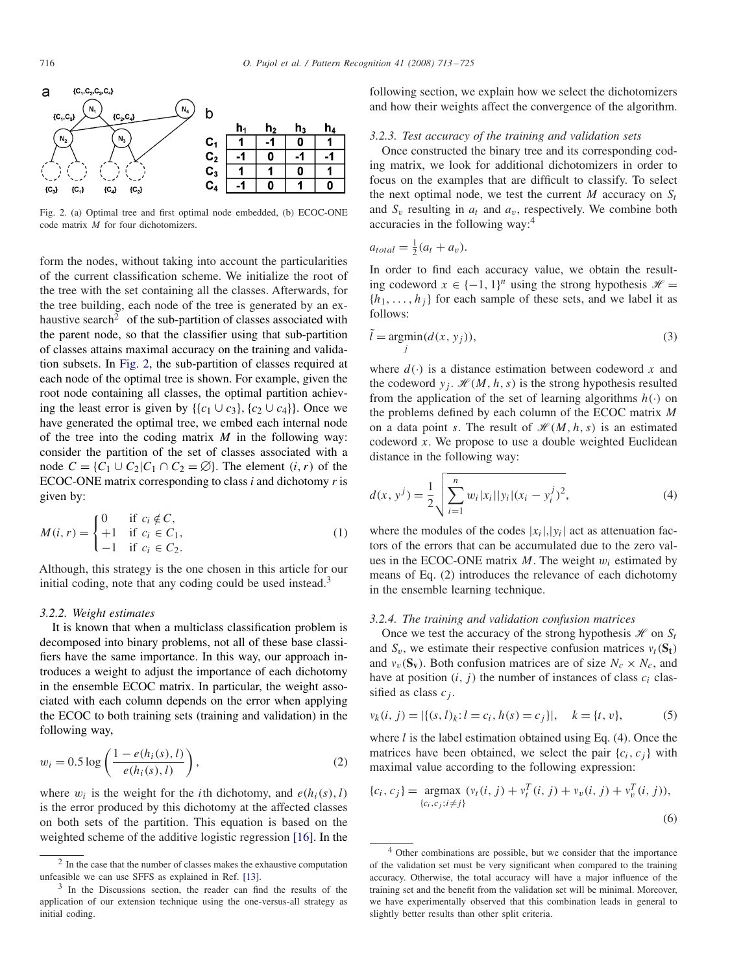<span id="page-3-0"></span>

Fig. 2. (a) Optimal tree and first optimal node embedded, (b) ECOC-ONE code matrix *M* for four dichotomizers.

form the nodes, without taking into account the particularities of the current classification scheme. We initialize the root of the tree with the set containing all the classes. Afterwards, for the tree building, each node of the tree is generated by an exhaustive search<sup> $\overline{2}$ </sup> of the sub-partition of classes associated with the parent node, so that the classifier using that sub-partition of classes attains maximal accuracy on the training and validation subsets. In Fig. 2, the sub-partition of classes required at each node of the optimal tree is shown. For example, given the root node containing all classes, the optimal partition achieving the least error is given by  $\{\{c_1 \cup c_3\}, \{c_2 \cup c_4\}\}\)$ . Once we have generated the optimal tree, we embed each internal node of the tree into the coding matrix *M* in the following way: consider the partition of the set of classes associated with a node  $C = \{C_1 \cup C_2 | C_1 \cap C_2 = \emptyset\}$ . The element  $(i, r)$  of the ECOC-ONE matrix corresponding to class *i* and dichotomy *r* is given by:

$$
M(i, r) = \begin{cases} 0 & \text{if } c_i \notin C, \\ +1 & \text{if } c_i \in C_1, \\ -1 & \text{if } c_i \in C_2. \end{cases}
$$
 (1)

Although, this strategy is the one chosen in this article for our initial coding, note that any coding could be used instead.<sup>3</sup>

### *3.2.2. Weight estimates*

It is known that when a multiclass classification problem is decomposed into binary problems, not all of these base classifiers have the same importance. In this way, our approach introduces a weight to adjust the importance of each dichotomy in the ensemble ECOC matrix. In particular, the weight associated with each column depends on the error when applying the ECOC to both training sets (training and validation) in the following way,

$$
w_i = 0.5 \log \left( \frac{1 - e(h_i(s), l)}{e(h_i(s), l)} \right),
$$
 (2)

where  $w_i$  is the weight for the *i*th dichotomy, and  $e(h_i(s), l)$ is the error produced by this dichotomy at the affected classes on both sets of the partition. This equation is based on the weighted scheme of the additive logistic regression [\[16\].](#page-12-0) In the following section, we explain how we select the dichotomizers and how their weights affect the convergence of the algorithm.

## *3.2.3. Test accuracy of the training and validation sets*

Once constructed the binary tree and its corresponding coding matrix, we look for additional dichotomizers in order to focus on the examples that are difficult to classify. To select the next optimal node, we test the current  $M$  accuracy on  $S_t$ and  $S_v$  resulting in  $a_t$  and  $a_v$ , respectively. We combine both accuracies in the following way:<sup>4</sup>

$$
a_{total} = \frac{1}{2}(a_t + a_v).
$$

In order to find each accuracy value, we obtain the resulting codeword  $x \in \{-1, 1\}^n$  using the strong hypothesis  $\mathcal{H} =$  $\{h_1, \ldots, h_i\}$  for each sample of these sets, and we label it as follows:

$$
\tilde{l} = \underset{j}{\text{argmin}} (d(x, y_j)),\tag{3}
$$

where  $d(\cdot)$  is a distance estimation between codeword x and the codeword  $y_i$ .  $\mathcal{H}(M, h, s)$  is the strong hypothesis resulted from the application of the set of learning algorithms  $h(\cdot)$  on the problems defined by each column of the ECOC matrix *M* on a data point *s*. The result of  $\mathcal{H}(M, h, s)$  is an estimated codeword  $x$ . We propose to use a double weighted Euclidean distance in the following way:

$$
d(x, y^{j}) = \frac{1}{2} \sqrt{\sum_{i=1}^{n} w_{i} |x_{i}| |y_{i}| (x_{i} - y_{i}^{j})^{2}},
$$
\n(4)

where the modules of the codes  $|x_i|, |y_i|$  act as attenuation factors of the errors that can be accumulated due to the zero values in the ECOC-ONE matrix *M*. The weight *wi* estimated by means of Eq. (2) introduces the relevance of each dichotomy in the ensemble learning technique.

#### *3.2.4. The training and validation confusion matrices*

Once we test the accuracy of the strong hypothesis  $\mathcal{H}$  on  $S_t$ and  $S_v$ , we estimate their respective confusion matrices  $v_t(S_t)$ and  $v_v(\mathbf{S_v})$ . Both confusion matrices are of size  $N_c \times N_c$ , and have at position  $(i, j)$  the number of instances of class  $c_i$  classified as class *cj* .

$$
v_k(i, j) = |\{(s, l)_k : l = c_i, h(s) = c_j\}|, \quad k = \{t, v\},
$$
 (5)

where *l* is the label estimation obtained using Eq. (4). Once the matrices have been obtained, we select the pair  ${c_i, c_j}$  with maximal value according to the following expression:

$$
\{c_i, c_j\} = \underset{\{c_i, c_j; i \neq j\}}{\text{argmax}} (v_t(i, j) + v_t^T(i, j) + v_v(i, j) + v_v^T(i, j)),
$$
\n(6)

<sup>2</sup> In the case that the number of classes makes the exhaustive computation unfeasible we can use SFFS as explained in Ref. [\[13\].](#page-12-0)

 $3$  In the Discussions section, the reader can find the results of the application of our extension technique using the one-versus-all strategy as initial coding.

<sup>4</sup> Other combinations are possible, but we consider that the importance of the validation set must be very significant when compared to the training accuracy. Otherwise, the total accuracy will have a major influence of the training set and the benefit from the validation set will be minimal. Moreover, we have experimentally observed that this combination leads in general to slightly better results than other split criteria.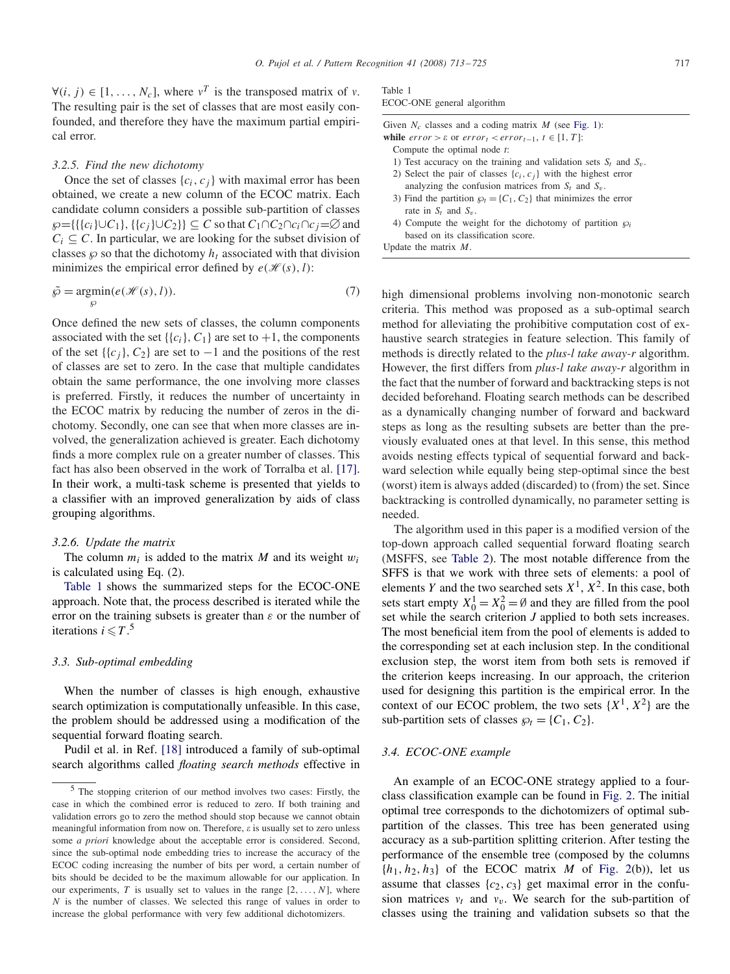$\forall (i, j) \in [1, \ldots, N_c]$ , where  $v^T$  is the transposed matrix of v. The resulting pair is the set of classes that are most easily confounded, and therefore they have the maximum partial empirical error.

#### *3.2.5. Find the new dichotomy*

Once the set of classes  $\{c_i, c_j\}$  with maximal error has been obtained, we create a new column of the ECOC matrix. Each candidate column considers a possible sub-partition of classes  $\wp = \{ \{ \{c_i\} \cup C_1 \}, \{ \{c_j\} \cup C_2 \} \}$  ⊆ *C* so that  $C_1 \cap C_2 \cap c_i \cap c_j = \emptyset$  and  $C_i \subseteq C$ . In particular, we are looking for the subset division of classes  $\wp$  so that the dichotomy  $h_t$  associated with that division minimizes the empirical error defined by  $e(\mathcal{H}(s), l)$ :

$$
\tilde{\wp} = \underset{\wp}{\text{argmin}} (e(\mathcal{H}(s), l)). \tag{7}
$$

Once defined the new sets of classes, the column components associated with the set  $\{\{c_i\}, C_1\}$  are set to  $+1$ , the components of the set  $\{ {c_i} \}$ ,  $C_2$ } are set to −1 and the positions of the rest of classes are set to zero. In the case that multiple candidates obtain the same performance, the one involving more classes is preferred. Firstly, it reduces the number of uncertainty in the ECOC matrix by reducing the number of zeros in the dichotomy. Secondly, one can see that when more classes are involved, the generalization achieved is greater. Each dichotomy finds a more complex rule on a greater number of classes. This fact has also been observed in the work of Torralba et al. [\[17\].](#page-12-0) In their work, a multi-task scheme is presented that yields to a classifier with an improved generalization by aids of class grouping algorithms.

## *3.2.6. Update the matrix*

The column  $m_i$  is added to the matrix  $M$  and its weight  $w_i$ is calculated using Eq. (2).

Table 1 shows the summarized steps for the ECOC-ONE approach. Note that, the process described is iterated while the error on the training subsets is greater than *ε* or the number of iterations  $i \leq T$ .<sup>5</sup>

## *3.3. Sub-optimal embedding*

When the number of classes is high enough, exhaustive search optimization is computationally unfeasible. In this case, the problem should be addressed using a modification of the sequential forward floating search.

Pudil et al. in Ref. [\[18\]](#page-12-0) introduced a family of sub-optimal search algorithms called *floating search methods* effective in

#### Table 1 ECOC-ONE general algorithm

Given  $N_c$  classes and a coding matrix *M* (see [Fig. 1\)](#page-1-0): **while**  $error > \varepsilon$  or  $error_t < error_{t-1}, t \in [1, T]$ : Compute the optimal node *t*: 1) Test accuracy on the training and validation sets  $S_t$  and  $S_v$ . 2) Select the pair of classes  $\{c_i, c_j\}$  with the highest error analyzing the confusion matrices from  $S_t$  and  $S_v$ . 3) Find the partition  $\wp_t = \{C_1, C_2\}$  that minimizes the error rate in  $S_t$  and  $S_v$ . 4) Compute the weight for the dichotomy of partition *℘i* based on its classification score. Update the matrix *M*.

high dimensional problems involving non-monotonic search criteria. This method was proposed as a sub-optimal search method for alleviating the prohibitive computation cost of exhaustive search strategies in feature selection. This family of methods is directly related to the *plus-l take away-r* algorithm. However, the first differs from *plus-l take away-r* algorithm in the fact that the number of forward and backtracking steps is not decided beforehand. Floating search methods can be described as a dynamically changing number of forward and backward steps as long as the resulting subsets are better than the previously evaluated ones at that level. In this sense, this method avoids nesting effects typical of sequential forward and backward selection while equally being step-optimal since the best (worst) item is always added (discarded) to (from) the set. Since backtracking is controlled dynamically, no parameter setting is needed.

The algorithm used in this paper is a modified version of the top-down approach called sequential forward floating search (MSFFS, see [Table 2\)](#page-5-0). The most notable difference from the SFFS is that we work with three sets of elements: a pool of elements *Y* and the two searched sets  $X^1$ ,  $X^2$ . In this case, both sets start empty  $X_0^1 = X_0^2 = \emptyset$  and they are filled from the pool set while the search criterion *J* applied to both sets increases. The most beneficial item from the pool of elements is added to the corresponding set at each inclusion step. In the conditional exclusion step, the worst item from both sets is removed if the criterion keeps increasing. In our approach, the criterion used for designing this partition is the empirical error. In the context of our ECOC problem, the two sets  $\{X^1, X^2\}$  are the sub-partition sets of classes  $\wp_t = \{C_1, C_2\}.$ 

## *3.4. ECOC-ONE example*

An example of an ECOC-ONE strategy applied to a fourclass classification example can be found in [Fig. 2.](#page-3-0) The initial optimal tree corresponds to the dichotomizers of optimal subpartition of the classes. This tree has been generated using accuracy as a sub-partition splitting criterion. After testing the performance of the ensemble tree (composed by the columns  ${h_1, h_2, h_3}$  of the ECOC matrix *M* of [Fig. 2\(](#page-3-0)b)), let us assume that classes  $\{c_2, c_3\}$  get maximal error in the confusion matrices  $v_t$  and  $v_v$ . We search for the sub-partition of classes using the training and validation subsets so that the

<sup>5</sup> The stopping criterion of our method involves two cases: Firstly, the case in which the combined error is reduced to zero. If both training and validation errors go to zero the method should stop because we cannot obtain meaningful information from now on. Therefore,  $\varepsilon$  is usually set to zero unless some *a priori* knowledge about the acceptable error is considered. Second, since the sub-optimal node embedding tries to increase the accuracy of the ECOC coding increasing the number of bits per word, a certain number of bits should be decided to be the maximum allowable for our application. In our experiments,  $T$  is usually set to values in the range  $[2, \ldots, N]$ , where *N* is the number of classes. We selected this range of values in order to increase the global performance with very few additional dichotomizers.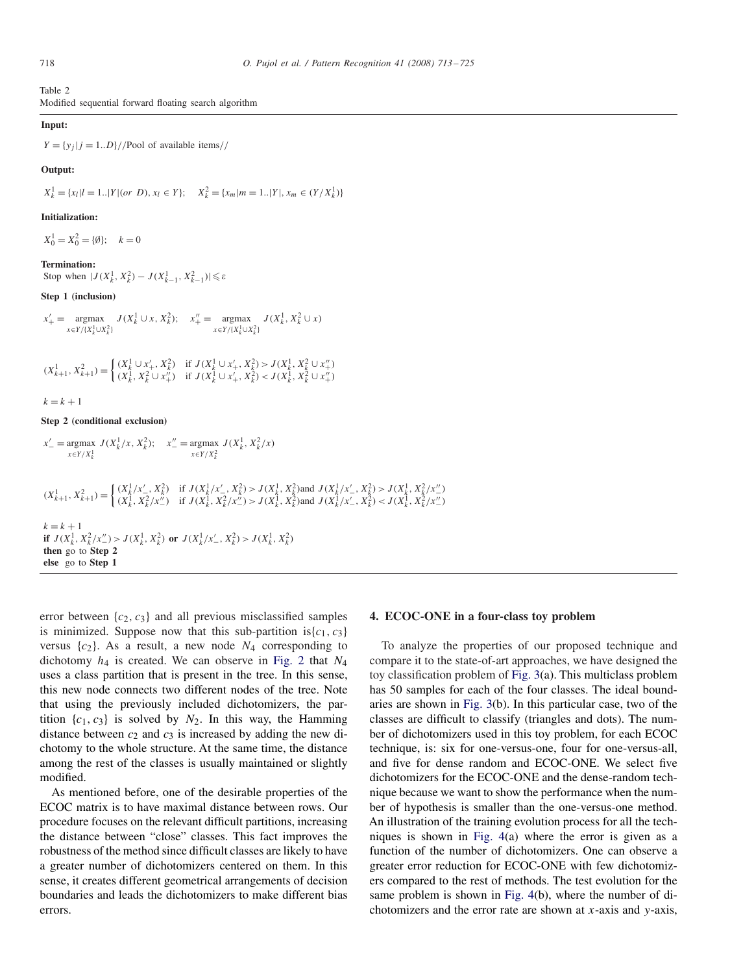<span id="page-5-0"></span>Table 2 Modified sequential forward floating search algorithm

#### **Input:**

 $Y = \{y_j | j = 1..D\}$ //Pool of available items//

#### **Output:**

 $X_k^1 = \{x_l | l = 1..|Y| (or D), x_l \in Y\};$   $X_k^2 = \{x_m | m = 1..|Y|, x_m \in (Y/X_k^1)\}$ 

#### **Initialization:**

 $X_0^1 = X_0^2 = {\emptyset}; \quad k = 0$ 

#### **Termination:**

Stop when  $|J(X_k^1, X_k^2) - J(X_{k-1}^1, X_{k-1}^2)| \leq \varepsilon$ 

## **Step 1 (inclusion)**

 $x'_{+} = \underset{x \in Y}{\operatorname{argmax}}$ *J*(*X*<sub>k</sub><sup>1</sup></sub> ∪ *x*, *X*<sub>k</sub><sup>2</sup>); *x*<sub>1</sub><sup>*′*</sup> = argmax<br>*x*∈*Y*/{*X*<sub>k</sub><sup>1</sup>∪*X*<sub>k</sub><sup>2</sup>} *J*( $X_k^1$ ,  $X_k^2$  ∪ *x*)

$$
(X_{k+1}^1,X_{k+1}^2)=\begin{cases} (X_k^1\cup x_+',X_k^2) & \text{if }J(X_k^1\cup x_+',X_k^2)>J(X_k^1,X_k^2\cup x_+'')\\ (X_k^1,X_k^2\cup x_+'') & \text{if }J(X_k^1\cup x_+',X_k^2)
$$

 $k = k + 1$ 

#### **Step 2 (conditional exclusion)**

 $x'$  = argmax<br> $x \in Y/X_k^1$  $J(X_k^1/x, X_k^2);$   $x''_- = \underset{x \in Y/X_k^2}{\text{argmax}}$  $J(X_k^1, X_k^2/x)$ 

$$
(X_{k+1}^1, X_{k+1}^2) = \begin{cases} (X_k^1/x'_-, X_k^2) & \text{if } J(X_k^1/x'_-, X_k^2) > J(X_k^1, X_k^2) \text{ and } J(X_k^1/x'_-, X_k^2) > J(X_k^1, X_k^2/x''') \\ (X_k^1, X_k^2/x''') & \text{if } J(X_k^1, X_k^2/x''') > J(X_k^1, X_k^2) \text{ and } J(X_k^1/x'_-, X_k^2) < J(X_k^1, X_k^2/x''') \end{cases}
$$
  
\n $k = k + 1$   
\nif  $J(X_k^1, X_k^2/x''') > J(X_k^1, X_k^2)$  or  $J(X_k^1/x'_-, X_k^2) > J(X_k^1, X_k^2)$   
\nthen go to Step 2  
\nelse go to Step 1

error between {*c*2*, c*3} and all previous misclassified samples is minimized. Suppose now that this sub-partition is $\{c_1, c_3\}$ versus  $\{c_2\}$ . As a result, a new node  $N_4$  corresponding to dichotomy *h*<sup>4</sup> is created. We can observe in [Fig. 2](#page-3-0) that *N*<sup>4</sup> uses a class partition that is present in the tree. In this sense, this new node connects two different nodes of the tree. Note that using the previously included dichotomizers, the partition  $\{c_1, c_3\}$  is solved by  $N_2$ . In this way, the Hamming distance between  $c_2$  and  $c_3$  is increased by adding the new dichotomy to the whole structure. At the same time, the distance among the rest of the classes is usually maintained or slightly modified.

As mentioned before, one of the desirable properties of the ECOC matrix is to have maximal distance between rows. Our procedure focuses on the relevant difficult partitions, increasing the distance between "close" classes. This fact improves the robustness of the method since difficult classes are likely to have a greater number of dichotomizers centered on them. In this sense, it creates different geometrical arrangements of decision boundaries and leads the dichotomizers to make different bias errors.

## **4. ECOC-ONE in a four-class toy problem**

To analyze the properties of our proposed technique and compare it to the state-of-art approaches, we have designed the toy classification problem of [Fig. 3\(](#page-6-0)a). This multiclass problem has 50 samples for each of the four classes. The ideal boundaries are shown in [Fig. 3\(](#page-6-0)b). In this particular case, two of the classes are difficult to classify (triangles and dots). The number of dichotomizers used in this toy problem, for each ECOC technique, is: six for one-versus-one, four for one-versus-all, and five for dense random and ECOC-ONE. We select five dichotomizers for the ECOC-ONE and the dense-random technique because we want to show the performance when the number of hypothesis is smaller than the one-versus-one method. An illustration of the training evolution process for all the techniques is shown in [Fig. 4\(](#page-6-0)a) where the error is given as a function of the number of dichotomizers. One can observe a greater error reduction for ECOC-ONE with few dichotomizers compared to the rest of methods. The test evolution for the same problem is shown in [Fig. 4\(](#page-6-0)b), where the number of dichotomizers and the error rate are shown at *x*-axis and *y*-axis,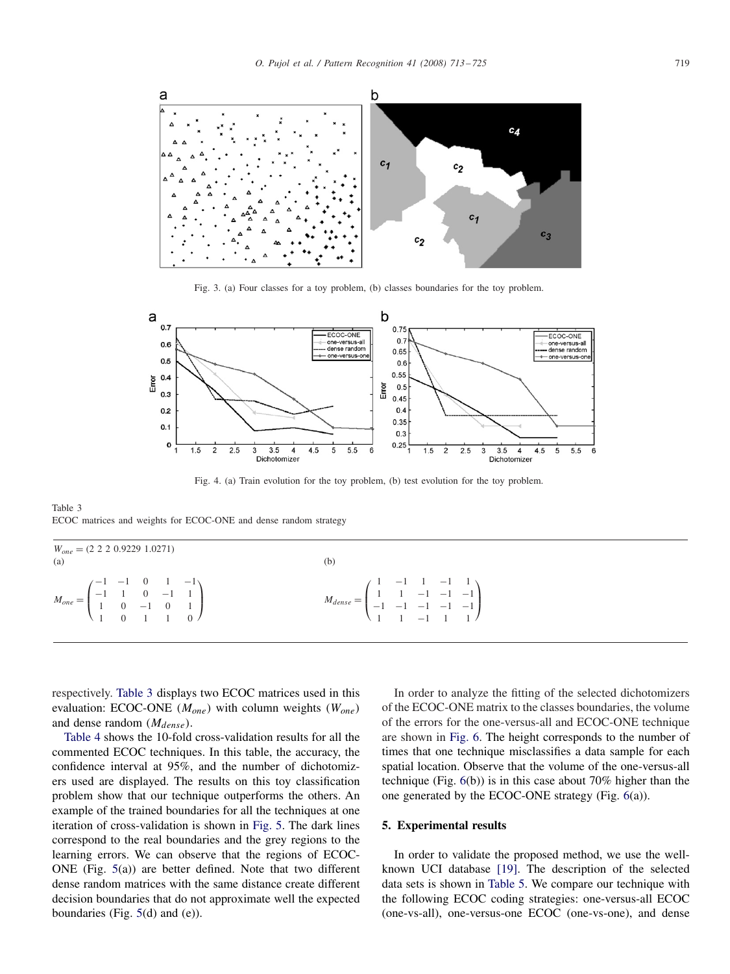<span id="page-6-0"></span>

Fig. 3. (a) Four classes for a toy problem, (b) classes boundaries for the toy problem.



Fig. 4. (a) Train evolution for the toy problem, (b) test evolution for the toy problem.

Table 3 ECOC matrices and weights for ECOC-ONE and dense random strategy

| $W_{one} = (2\ 2\ 2\ 0.9229\ 1.0271)$<br>(a)                                                                                     |                                                                                                                                                           |
|----------------------------------------------------------------------------------------------------------------------------------|-----------------------------------------------------------------------------------------------------------------------------------------------------------|
| $M_{one} = \begin{pmatrix} -1 & -1 & 0 & 1 & -1 \\ -1 & 1 & 0 & -1 & 1 \\ 1 & 0 & -1 & 0 & 1 \\ 1 & 0 & 1 & 1 & 0 \end{pmatrix}$ | $M_{dense} = \left( \begin{array}{rrrrr} 1 & -1 & 1 & -1 & 1 \\ 1 & 1 & -1 & -1 & -1 \\ -1 & -1 & -1 & -1 & -1 \\ 1 & 1 & -1 & 1 & 1 \end{array} \right)$ |

respectively. Table 3 displays two ECOC matrices used in this evaluation: ECOC-ONE *(Mone)* with column weights *(Wone)* and dense random *(Mdense)*.

[Table 4](#page-7-0) shows the 10-fold cross-validation results for all the commented ECOC techniques. In this table, the accuracy, the confidence interval at 95%, and the number of dichotomizers used are displayed. The results on this toy classification problem show that our technique outperforms the others. An example of the trained boundaries for all the techniques at one iteration of cross-validation is shown in [Fig. 5.](#page-7-0) The dark lines correspond to the real boundaries and the grey regions to the learning errors. We can observe that the regions of ECOC-ONE (Fig. [5\(](#page-7-0)a)) are better defined. Note that two different dense random matrices with the same distance create different decision boundaries that do not approximate well the expected boundaries (Fig. [5\(](#page-7-0)d) and (e)).

In order to analyze the fitting of the selected dichotomizers of the ECOC-ONE matrix to the classes boundaries, the volume of the errors for the one-versus-all and ECOC-ONE technique are shown in [Fig. 6.](#page-7-0) The height corresponds to the number of times that one technique misclassifies a data sample for each spatial location. Observe that the volume of the one-versus-all technique (Fig. [6\(](#page-7-0)b)) is in this case about 70% higher than the one generated by the ECOC-ONE strategy (Fig. [6\(](#page-7-0)a)).

## **5. Experimental results**

In order to validate the proposed method, we use the wellknown UCI database [\[19\].](#page-12-0) The description of the selected data sets is shown in [Table 5.](#page-8-0) We compare our technique with the following ECOC coding strategies: one-versus-all ECOC (one-vs-all), one-versus-one ECOC (one-vs-one), and dense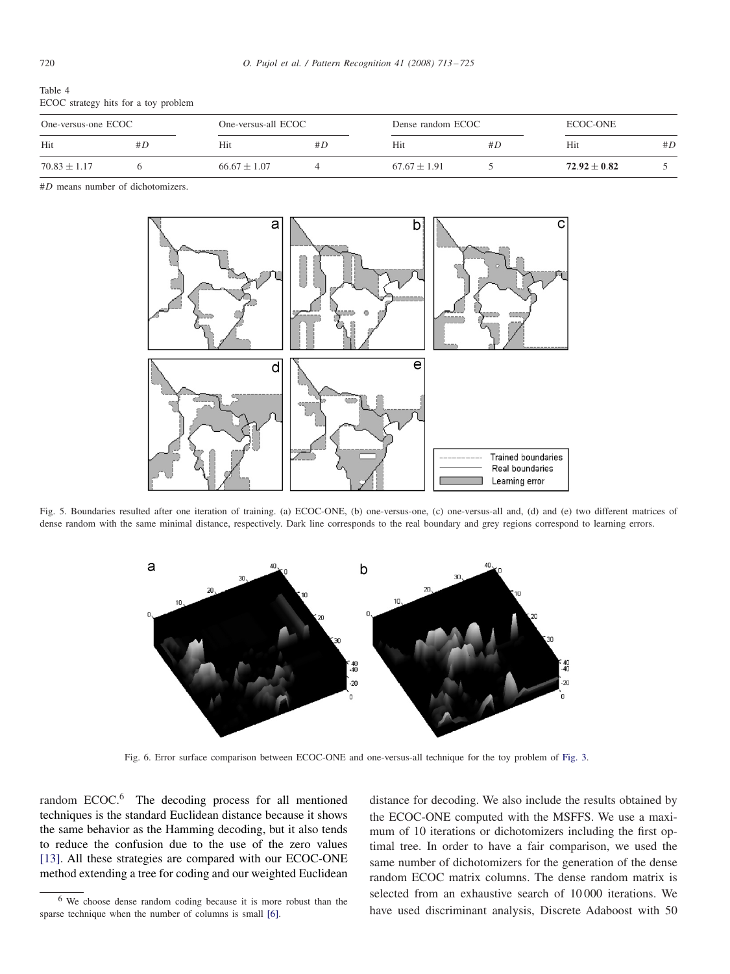# <span id="page-7-0"></span>Table 4 ECOC strategy hits for a toy problem

| One-versus-one ECOC |    | One-versus-all ECOC |    | Dense random ECOC |    | ECOC-ONE         |    |
|---------------------|----|---------------------|----|-------------------|----|------------------|----|
| Hit                 | #D | Hit                 | #D | Hit               | #D | Hit              | #D |
| $70.83 \pm 1.17$    |    | $66.67 \pm 1.07$    |    | $67.67 \pm 1.91$  |    | $72.92 \pm 0.82$ |    |

#*D* means number of dichotomizers.



Fig. 5. Boundaries resulted after one iteration of training. (a) ECOC-ONE, (b) one-versus-one, (c) one-versus-all and, (d) and (e) two different matrices of dense random with the same minimal distance, respectively. Dark line corresponds to the real boundary and grey regions correspond to learning errors.



Fig. 6. Error surface comparison between ECOC-ONE and one-versus-all technique for the toy problem of [Fig. 3.](#page-6-0)

random ECOC.<sup>6</sup> The decoding process for all mentioned techniques is the standard Euclidean distance because it shows the same behavior as the Hamming decoding, but it also tends to reduce the confusion due to the use of the zero values [\[13\].](#page-12-0) All these strategies are compared with our ECOC-ONE method extending a tree for coding and our weighted Euclidean

distance for decoding. We also include the results obtained by the ECOC-ONE computed with the MSFFS. We use a maximum of 10 iterations or dichotomizers including the first optimal tree. In order to have a fair comparison, we used the same number of dichotomizers for the generation of the dense random ECOC matrix columns. The dense random matrix is selected from an exhaustive search of 10 000 iterations. We have used discriminant analysis, Discrete Adaboost with 50

<sup>6</sup> We choose dense random coding because it is more robust than the sparse technique when the number of columns is small [\[6\].](#page-12-0)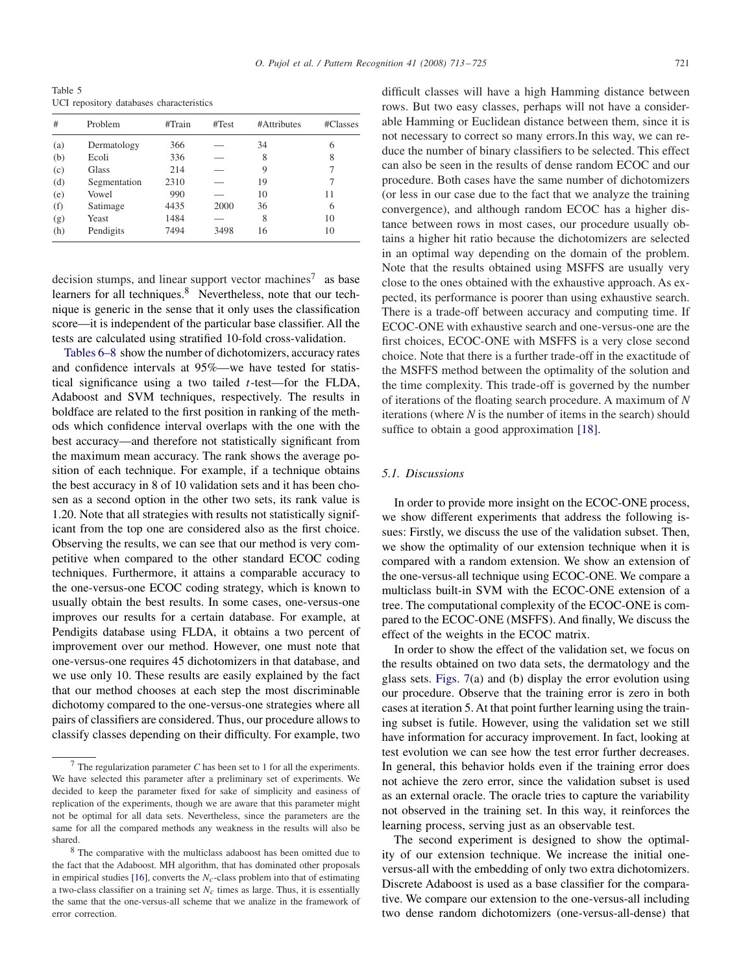<span id="page-8-0"></span>Table 5 UCI repository databases characteristics

| #   | Problem      | #Train | #Test | #Attributes | #Classes |
|-----|--------------|--------|-------|-------------|----------|
| (a) | Dermatology  | 366    |       | 34          | 6        |
| (b) | Ecoli        | 336    |       | 8           | 8        |
| (c) | Glass        | 214    |       | 9           | 7        |
| (d) | Segmentation | 2310   |       | 19          | 7        |
| (e) | Vowel        | 990    |       | 10          | 11       |
| (f) | Satimage     | 4435   | 2000  | 36          | 6        |
| (g) | Yeast        | 1484   |       | 8           | 10       |
| (h) | Pendigits    | 7494   | 3498  | 16          | 10       |

decision stumps, and linear support vector machines<sup>7</sup> as base learners for all techniques. $8$  Nevertheless, note that our technique is generic in the sense that it only uses the classification score—it is independent of the particular base classifier. All the tests are calculated using stratified 10-fold cross-validation.

Tables 6–8 show the number of dichotomizers, accuracy rates and confidence intervals at 95%—we have tested for statistical significance using a two tailed *t*-test—for the FLDA, Adaboost and SVM techniques, respectively. The results in boldface are related to the first position in ranking of the methods which confidence interval overlaps with the one with the best accuracy—and therefore not statistically significant from the maximum mean accuracy. The rank shows the average position of each technique. For example, if a technique obtains the best accuracy in 8 of 10 validation sets and it has been chosen as a second option in the other two sets, its rank value is 1.20. Note that all strategies with results not statistically significant from the top one are considered also as the first choice. Observing the results, we can see that our method is very competitive when compared to the other standard ECOC coding techniques. Furthermore, it attains a comparable accuracy to the one-versus-one ECOC coding strategy, which is known to usually obtain the best results. In some cases, one-versus-one improves our results for a certain database. For example, at Pendigits database using FLDA, it obtains a two percent of improvement over our method. However, one must note that one-versus-one requires 45 dichotomizers in that database, and we use only 10. These results are easily explained by the fact that our method chooses at each step the most discriminable dichotomy compared to the one-versus-one strategies where all pairs of classifiers are considered. Thus, our procedure allows to classify classes depending on their difficulty. For example, two

difficult classes will have a high Hamming distance between rows. But two easy classes, perhaps will not have a considerable Hamming or Euclidean distance between them, since it is not necessary to correct so many errors.In this way, we can reduce the number of binary classifiers to be selected. This effect can also be seen in the results of dense random ECOC and our procedure. Both cases have the same number of dichotomizers (or less in our case due to the fact that we analyze the training convergence), and although random ECOC has a higher distance between rows in most cases, our procedure usually obtains a higher hit ratio because the dichotomizers are selected in an optimal way depending on the domain of the problem. Note that the results obtained using MSFFS are usually very close to the ones obtained with the exhaustive approach. As expected, its performance is poorer than using exhaustive search. There is a trade-off between accuracy and computing time. If ECOC-ONE with exhaustive search and one-versus-one are the first choices, ECOC-ONE with MSFFS is a very close second choice. Note that there is a further trade-off in the exactitude of the MSFFS method between the optimality of the solution and the time complexity. This trade-off is governed by the number of iterations of the floating search procedure. A maximum of *N* iterations (where *N* is the number of items in the search) should suffice to obtain a good approximation [\[18\].](#page-12-0)

## *5.1. Discussions*

In order to provide more insight on the ECOC-ONE process, we show different experiments that address the following issues: Firstly, we discuss the use of the validation subset. Then, we show the optimality of our extension technique when it is compared with a random extension. We show an extension of the one-versus-all technique using ECOC-ONE. We compare a multiclass built-in SVM with the ECOC-ONE extension of a tree. The computational complexity of the ECOC-ONE is compared to the ECOC-ONE (MSFFS). And finally, We discuss the effect of the weights in the ECOC matrix.

In order to show the effect of the validation set, we focus on the results obtained on two data sets, the dermatology and the glass sets. [Figs. 7\(](#page-10-0)a) and (b) display the error evolution using our procedure. Observe that the training error is zero in both cases at iteration 5. At that point further learning using the training subset is futile. However, using the validation set we still have information for accuracy improvement. In fact, looking at test evolution we can see how the test error further decreases. In general, this behavior holds even if the training error does not achieve the zero error, since the validation subset is used as an external oracle. The oracle tries to capture the variability not observed in the training set. In this way, it reinforces the learning process, serving just as an observable test.

The second experiment is designed to show the optimality of our extension technique. We increase the initial oneversus-all with the embedding of only two extra dichotomizers. Discrete Adaboost is used as a base classifier for the comparative. We compare our extension to the one-versus-all including two dense random dichotomizers (one-versus-all-dense) that

<sup>7</sup> The regularization parameter *C* has been set to 1 for all the experiments. We have selected this parameter after a preliminary set of experiments. We decided to keep the parameter fixed for sake of simplicity and easiness of replication of the experiments, though we are aware that this parameter might not be optimal for all data sets. Nevertheless, since the parameters are the same for all the compared methods any weakness in the results will also be shared.

<sup>8</sup> The comparative with the multiclass adaboost has been omitted due to the fact that the Adaboost. MH algorithm, that has dominated other proposals in empirical studies [\[16\],](#page-12-0) converts the  $N_c$ -class problem into that of estimating a two-class classifier on a training set  $N_c$  times as large. Thus, it is essentially the same that the one-versus-all scheme that we analize in the framework of error correction.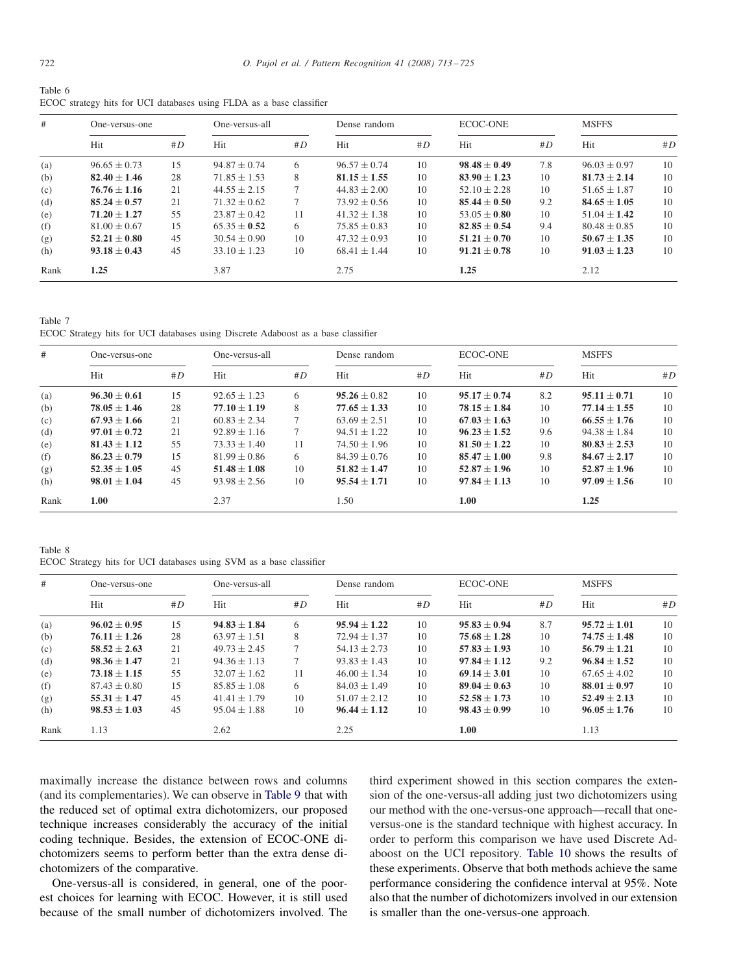Table 6 ECOC strategy hits for UCI databases using FLDA as a base classifier

| #    | One-versus-one   |    | One-versus-all   |    | Dense random     |    | ECOC-ONE         |     | <b>MSFFS</b>     |    |
|------|------------------|----|------------------|----|------------------|----|------------------|-----|------------------|----|
|      | Hit              | #D | Hit              | #D | Hit              | #D | Hit              | #D  | Hit              | #D |
| (a)  | $96.65 \pm 0.73$ | 15 | $94.87 \pm 0.74$ | 6  | $96.57 \pm 0.74$ | 10 | $98.48 \pm 0.49$ | 7.8 | $96.03 \pm 0.97$ | 10 |
| (b)  | $82.40 \pm 1.46$ | 28 | $71.85 \pm 1.53$ | 8  | $81.15 \pm 1.55$ | 10 | $83.90 \pm 1.23$ | 10  | $81.73 + 2.14$   | 10 |
| (c)  | $76.76 \pm 1.16$ | 21 | $44.55 \pm 2.15$ | 7  | $44.83 \pm 2.00$ | 10 | $52.10 \pm 2.28$ | 10  | $51.65 \pm 1.87$ | 10 |
| (d)  | $85.24 \pm 0.57$ | 21 | $71.32 \pm 0.62$ | 7  | $73.92 \pm 0.56$ | 10 | $85.44 \pm 0.50$ | 9.2 | $84.65 + 1.05$   | 10 |
| (e)  | $71.20 \pm 1.27$ | 55 | $23.87 \pm 0.42$ | 11 | $41.32 \pm 1.38$ | 10 | $53.05 \pm 0.80$ | 10  | $51.04 \pm 1.42$ | 10 |
| (f)  | $81.00 \pm 0.67$ | 15 | $65.35 \pm 0.52$ | 6  | $75.85 \pm 0.83$ | 10 | $82.85 \pm 0.54$ | 9.4 | $80.48 \pm 0.85$ | 10 |
| (g)  | $52.21 \pm 0.80$ | 45 | $30.54 \pm 0.90$ | 10 | $47.32 \pm 0.93$ | 10 | $51.21 \pm 0.70$ | 10  | $50.67 \pm 1.35$ | 10 |
| (h)  | $93.18 \pm 0.43$ | 45 | $33.10 \pm 1.23$ | 10 | $68.41 \pm 1.44$ | 10 | $91.21 \pm 0.78$ | 10  | $91.03 \pm 1.23$ | 10 |
| Rank | 1.25             |    | 3.87             |    | 2.75             |    | 1.25             |     | 2.12             |    |

Table 7 ECOC Strategy hits for UCI databases using Discrete Adaboost as a base classifier

| #    | One-versus-one   |    | One-versus-all   |    | Dense random     |    | ECOC-ONE         |     | <b>MSFFS</b>     |    |
|------|------------------|----|------------------|----|------------------|----|------------------|-----|------------------|----|
|      | Hit              | #D | Hit              | #D | Hit              | #D | Hit              | #D  | Hit              | #D |
| (a)  | $96.30 \pm 0.61$ | 15 | $92.65 \pm 1.23$ | 6  | $95.26 \pm 0.82$ | 10 | $95.17 \pm 0.74$ | 8.2 | $95.11 \pm 0.71$ | 10 |
| (b)  | $78.05 \pm 1.46$ | 28 | $77.10 \pm 1.19$ | 8  | $77.65 \pm 1.33$ | 10 | $78.15 \pm 1.84$ | 10  | $77.14 \pm 1.55$ | 10 |
| (c)  | $67.93 \pm 1.66$ | 21 | $60.83 + 2.34$   |    | $63.69 + 2.51$   | 10 | $67.03 \pm 1.63$ | 10  | $66.55 + 1.76$   | 10 |
| (d)  | $97.01 \pm 0.72$ | 21 | $92.89 + 1.16$   |    | $94.51 \pm 1.22$ | 10 | $96.23 + 1.52$   | 9.6 | $94.38 \pm 1.84$ | 10 |
| (e)  | $81.43 + 1.12$   | 55 | $73.33 \pm 1.40$ | 11 | $74.50 \pm 1.96$ | 10 | $81.50 \pm 1.22$ | 10  | $80.83 + 2.53$   | 10 |
| (f)  | $86.23 \pm 0.79$ | 15 | $81.99 \pm 0.86$ | 6  | $84.39 \pm 0.76$ | 10 | $85.47 \pm 1.00$ | 9.8 | $84.67 \pm 2.17$ | 10 |
| (g)  | $52.35 + 1.05$   | 45 | $51.48 \pm 1.08$ | 10 | $51.82 + 1.47$   | 10 | $52.87 \pm 1.96$ | 10  | $52.87 \pm 1.96$ | 10 |
| (h)  | $98.01 \pm 1.04$ | 45 | $93.98 \pm 2.56$ | 10 | $95.54 \pm 1.71$ | 10 | $97.84 \pm 1.13$ | 10  | $97.09 \pm 1.56$ | 10 |
| Rank | 1.00             |    | 2.37             |    | 1.50             |    | $1.00\,$         |     | 1.25             |    |

Table 8 ECOC Strategy hits for UCI databases using SVM as a base classifier

| #    | One-versus-one   |       | One-versus-all   |    | Dense random     |    | ECOC-ONE         |     | <b>MSFFS</b>     |    |
|------|------------------|-------|------------------|----|------------------|----|------------------|-----|------------------|----|
|      | Hit              | # $D$ | Hit              | #D | Hit              | #D | Hit              | #D  | Hit              | #D |
| (a)  | $96.02 \pm 0.95$ | 15    | $94.83 \pm 1.84$ | 6  | $95.94 \pm 1.22$ | 10 | $95.83 \pm 0.94$ | 8.7 | $95.72 \pm 1.01$ | 10 |
| (b)  | $76.11 \pm 1.26$ | 28    | $63.97 \pm 1.51$ | 8  | $72.94 \pm 1.37$ | 10 | $75.68 \pm 1.28$ | 10  | $74.75 + 1.48$   | 10 |
| (c)  | $58.52 + 2.63$   | 21    | $49.73 + 2.45$   |    | $54.13 + 2.73$   | 10 | $57.83 \pm 1.93$ | 10  | $56.79 \pm 1.21$ | 10 |
| (d)  | $98.36 \pm 1.47$ | 21    | $94.36 \pm 1.13$ |    | $93.83 + 1.43$   | 10 | $97.84 \pm 1.12$ | 9.2 | $96.84 \pm 1.52$ | 10 |
| (e)  | $73.18 \pm 1.15$ | 55    | $32.07 \pm 1.62$ | 11 | $46.00 \pm 1.34$ | 10 | $69.14 \pm 3.01$ | 10  | $67.65 \pm 4.02$ | 10 |
| (f)  | $87.43 \pm 0.80$ | 15    | $85.85 \pm 1.08$ | 6  | $84.03 \pm 1.49$ | 10 | $89.04 \pm 0.63$ | 10  | $88.01 \pm 0.97$ | 10 |
| (g)  | $55.31 \pm 1.47$ | 45    | $41.41 \pm 1.79$ | 10 | $51.07 \pm 2.12$ | 10 | $52.58 + 1.73$   | 10  | $52.49 \pm 2.13$ | 10 |
| (h)  | $98.53 \pm 1.03$ | 45    | $95.04 \pm 1.88$ | 10 | $96.44 \pm 1.12$ | 10 | $98.43 \pm 0.99$ | 10  | $96.05 \pm 1.76$ | 10 |
| Rank | 1.13             |       | 2.62             |    | 2.25             |    | $1.00\,$         |     | 1.13             |    |

maximally increase the distance between rows and columns (and its complementaries). We can observe in [Table 9](#page-10-0) that with the reduced set of optimal extra dichotomizers, our proposed technique increases considerably the accuracy of the initial coding technique. Besides, the extension of ECOC-ONE dichotomizers seems to perform better than the extra dense dichotomizers of the comparative.

One-versus-all is considered, in general, one of the poorest choices for learning with ECOC. However, it is still used because of the small number of dichotomizers involved. The third experiment showed in this section compares the extension of the one-versus-all adding just two dichotomizers using our method with the one-versus-one approach—recall that oneversus-one is the standard technique with highest accuracy. In order to perform this comparison we have used Discrete Adaboost on the UCI repository. [Table 10](#page-10-0) shows the results of these experiments. Observe that both methods achieve the same performance considering the confidence interval at 95%. Note also that the number of dichotomizers involved in our extension is smaller than the one-versus-one approach.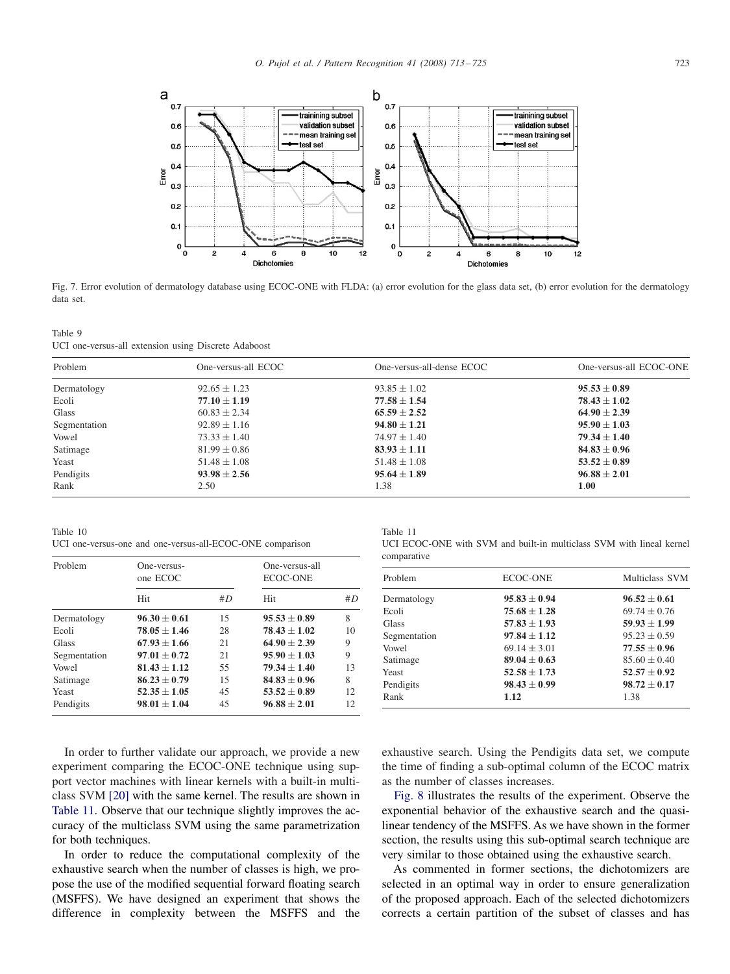<span id="page-10-0"></span>

Fig. 7. Error evolution of dermatology database using ECOC-ONE with FLDA: (a) error evolution for the glass data set, (b) error evolution for the dermatology data set.

#### Table 9 UCI one-versus-all extension using Discrete Adaboost

| Problem      | One-versus-all ECOC | One-versus-all-dense ECOC | One-versus-all ECOC-ONE |
|--------------|---------------------|---------------------------|-------------------------|
| Dermatology  | $92.65 \pm 1.23$    | $93.85 \pm 1.02$          | $95.53 \pm 0.89$        |
| Ecoli        | $77.10 \pm 1.19$    | $77.58 \pm 1.54$          | $78.43 \pm 1.02$        |
| Glass        | $60.83 \pm 2.34$    | $65.59 + 2.52$            | $64.90 \pm 2.39$        |
| Segmentation | $92.89 \pm 1.16$    | $94.80 \pm 1.21$          | $95.90 \pm 1.03$        |
| Vowel        | $73.33 \pm 1.40$    | $74.97 \pm 1.40$          | $79.34 \pm 1.40$        |
| Satimage     | $81.99 \pm 0.86$    | $83.93 \pm 1.11$          | $84.83 \pm 0.96$        |
| Yeast        | $51.48 \pm 1.08$    | $51.48 \pm 1.08$          | $53.52 \pm 0.89$        |
| Pendigits    | $93.98 \pm 2.56$    | $95.64 \pm 1.89$          | $96.88 \pm 2.01$        |
| Rank         | 2.50                | 1.38                      | 1.00                    |

Table 10 UCI one-versus-one and one-versus-all-ECOC-ONE comparison

| Problem      | One-versus-<br>one ECOC |    | One-versus-all<br>ECOC-ONE |    |
|--------------|-------------------------|----|----------------------------|----|
|              | Hit                     | #D | Hit                        | #D |
| Dermatology  | $96.30 \pm 0.61$        | 15 | $95.53 \pm 0.89$           | 8  |
| Ecoli        | $78.05 \pm 1.46$        | 28 | $78.43 \pm 1.02$           | 10 |
| Glass        | $67.93 \pm 1.66$        | 21 | $64.90 \pm 2.39$           | 9  |
| Segmentation | $97.01 \pm 0.72$        | 21 | $95.90 \pm 1.03$           | 9  |
| Vowel        | $81.43 \pm 1.12$        | 55 | $79.34 \pm 1.40$           | 13 |
| Satimage     | $86.23 \pm 0.79$        | 15 | $84.83 \pm 0.96$           | 8  |
| Yeast        | $52.35 \pm 1.05$        | 45 | $53.52 \pm 0.89$           | 12 |
| Pendigits    | $98.01 \pm 1.04$        | 45 | $96.88 \pm 2.01$           | 12 |

Table 11 UCI ECOC-ONE with SVM and built-in multiclass SVM with lineal kernel comparative

| Problem      | <b>ECOC-ONE</b>  | Multiclass SVM   |
|--------------|------------------|------------------|
| Dermatology  | $95.83 \pm 0.94$ | $96.52 \pm 0.61$ |
| Ecoli        | $75.68 \pm 1.28$ | $69.74 \pm 0.76$ |
| Glass        | $57.83 \pm 1.93$ | $59.93 \pm 1.99$ |
| Segmentation | $97.84 \pm 1.12$ | $95.23 \pm 0.59$ |
| Vowel        | $69.14 \pm 3.01$ | $77.55 \pm 0.96$ |
| Satimage     | $89.04 \pm 0.63$ | $85.60 \pm 0.40$ |
| Yeast        | $52.58 + 1.73$   | $52.57 \pm 0.92$ |
| Pendigits    | $98.43 \pm 0.99$ | $98.72 \pm 0.17$ |
| Rank         | 1.12             | 1.38             |

In order to further validate our approach, we provide a new experiment comparing the ECOC-ONE technique using support vector machines with linear kernels with a built-in multiclass SVM [\[20\]](#page-12-0) with the same kernel. The results are shown in Table 11. Observe that our technique slightly improves the accuracy of the multiclass SVM using the same parametrization for both techniques.

In order to reduce the computational complexity of the exhaustive search when the number of classes is high, we propose the use of the modified sequential forward floating search (MSFFS). We have designed an experiment that shows the difference in complexity between the MSFFS and the exhaustive search. Using the Pendigits data set, we compute the time of finding a sub-optimal column of the ECOC matrix as the number of classes increases.

[Fig. 8](#page-11-0) illustrates the results of the experiment. Observe the exponential behavior of the exhaustive search and the quasilinear tendency of the MSFFS. As we have shown in the former section, the results using this sub-optimal search technique are very similar to those obtained using the exhaustive search.

As commented in former sections, the dichotomizers are selected in an optimal way in order to ensure generalization of the proposed approach. Each of the selected dichotomizers corrects a certain partition of the subset of classes and has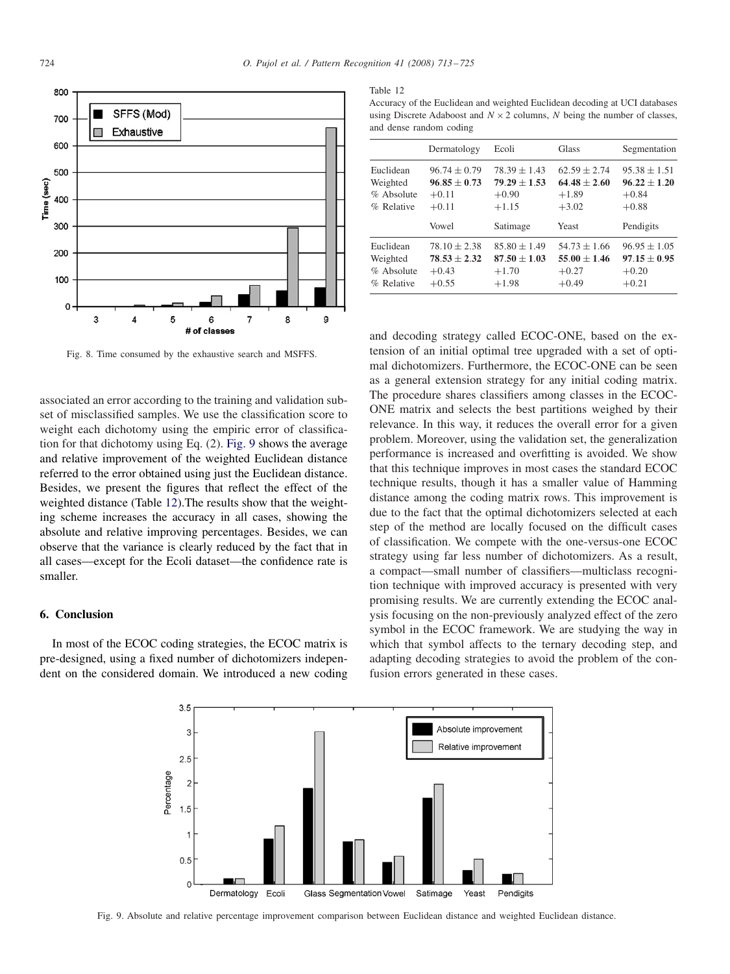<span id="page-11-0"></span>

Fig. 8. Time consumed by the exhaustive search and MSFFS.

associated an error according to the training and validation subset of misclassified samples. We use the classification score to weight each dichotomy using the empiric error of classification for that dichotomy using Eq. (2). Fig. 9 shows the average and relative improvement of the weighted Euclidean distance referred to the error obtained using just the Euclidean distance. Besides, we present the figures that reflect the effect of the weighted distance (Table 12).The results show that the weighting scheme increases the accuracy in all cases, showing the absolute and relative improving percentages. Besides, we can observe that the variance is clearly reduced by the fact that in all cases—except for the Ecoli dataset—the confidence rate is smaller.

# **6. Conclusion**

In most of the ECOC coding strategies, the ECOC matrix is pre-designed, using a fixed number of dichotomizers independent on the considered domain. We introduced a new coding Table 12

Accuracy of the Euclidean and weighted Euclidean decoding at UCI databases using Discrete Adaboost and  $N \times 2$  columns,  $N$  being the number of classes, and dense random coding

|                                                     | Dermatology                                                | Ecoli                                                      | Glass                                                    | Segmentation                                           |
|-----------------------------------------------------|------------------------------------------------------------|------------------------------------------------------------|----------------------------------------------------------|--------------------------------------------------------|
| Euclidean<br>Weighted<br>$%$ Absolute<br>% Relative | $96.74 \pm 0.79$<br>$96.85 \pm 0.73$<br>$+0.11$<br>$+0.11$ | $78.39 \pm 1.43$<br>$79.29 \pm 1.53$<br>$+0.90$<br>$+1.15$ | $62.59 + 2.74$<br>$64.48 \pm 2.60$<br>$+1.89$<br>$+3.02$ | $95.38 + 1.51$<br>$96.22 + 1.20$<br>$+0.84$<br>$+0.88$ |
|                                                     |                                                            |                                                            |                                                          |                                                        |
|                                                     | Vowel                                                      | Satimage                                                   | Yeast                                                    | Pendigits                                              |

and decoding strategy called ECOC-ONE, based on the extension of an initial optimal tree upgraded with a set of optimal dichotomizers. Furthermore, the ECOC-ONE can be seen as a general extension strategy for any initial coding matrix. The procedure shares classifiers among classes in the ECOC-ONE matrix and selects the best partitions weighed by their relevance. In this way, it reduces the overall error for a given problem. Moreover, using the validation set, the generalization performance is increased and overfitting is avoided. We show that this technique improves in most cases the standard ECOC technique results, though it has a smaller value of Hamming distance among the coding matrix rows. This improvement is due to the fact that the optimal dichotomizers selected at each step of the method are locally focused on the difficult cases of classification. We compete with the one-versus-one ECOC strategy using far less number of dichotomizers. As a result, a compact—small number of classifiers—multiclass recognition technique with improved accuracy is presented with very promising results. We are currently extending the ECOC analysis focusing on the non-previously analyzed effect of the zero symbol in the ECOC framework. We are studying the way in which that symbol affects to the ternary decoding step, and adapting decoding strategies to avoid the problem of the confusion errors generated in these cases.



Fig. 9. Absolute and relative percentage improvement comparison between Euclidean distance and weighted Euclidean distance.